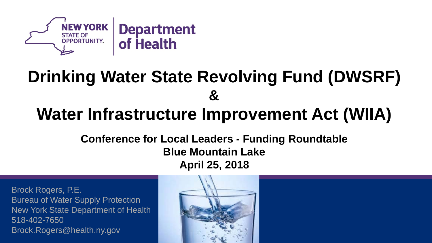

# **Drinking Water State Revolving Fund (DWSRF) &**

### **Water Infrastructure Improvement Act (WIIA)**

#### **Conference for Local Leaders - Funding Roundtable Blue Mountain Lake April 25, 2018**

Brock Rogers, P.E. Bureau of Water Supply Protection New York State Department of Health 518-402-7650 Brock.Rogers@health.ny.gov

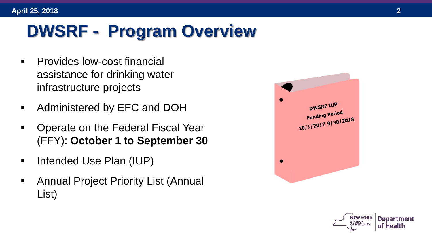# **DWSRF - Program Overview**

- **•** Provides low-cost financial assistance for drinking water infrastructure projects
- **Administered by EFC and DOH**
- Operate on the Federal Fiscal Year (FFY): **October 1 to September 30**
- Intended Use Plan (IUP)
- Annual Project Priority List (Annual List)



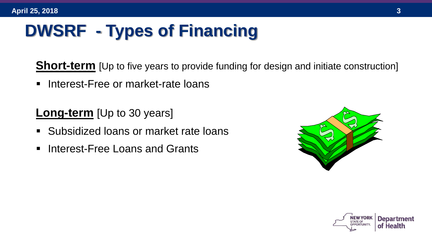# **DWSRF - Types of Financing**

**Short-term** [Up to five years to provide funding for design and initiate construction]

**Interest-Free or market-rate loans** 

**Long-term** [Up to 30 years]

- **Subsidized loans or market rate loans**
- **Interest-Free Loans and Grants**



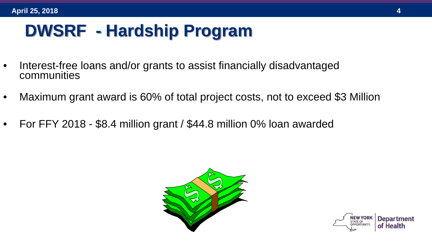## **DWSRF - Hardship Program**

- Interest-free loans and/or grants to assist financially disadvantaged communities
- Maximum grant award is 60% of total project costs, not to exceed \$3 Million
- For FFY 2018 \$8.4 million grant / \$44.8 million 0% loan awarded



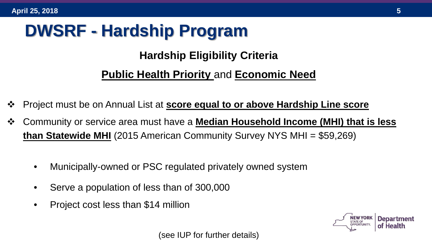## **DWSRF - Hardship Program**

#### **Hardship Eligibility Criteria**

#### **Public Health Priority** and **Economic Need**

- Project must be on Annual List at **score equal to or above Hardship Line score**
- Community or service area must have a **Median Household Income (MHI) that is less than Statewide MHI** (2015 American Community Survey NYS MHI = \$59,269)
	- Municipally-owned or PSC regulated privately owned system
	- Serve a population of less than of 300,000
	- Project cost less than \$14 million



(see IUP for further details)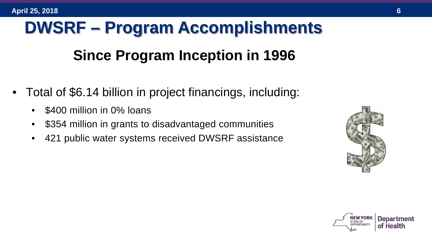# **DWSRF – Program Accomplishments**

#### **Since Program Inception in 1996**

- Total of \$6.14 billion in project financings, including:
	- \$400 million in 0% loans
	- \$354 million in grants to disadvantaged communities
	- 421 public water systems received DWSRF assistance



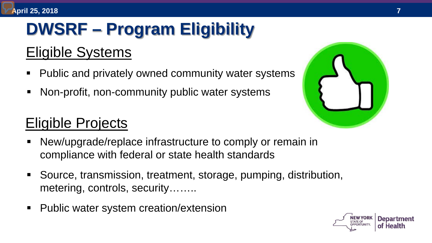# **DWSRF – Program Eligibility**

#### Eligible Systems

- **Public and privately owned community water systems**
- Non-profit, non-community public water systems

#### Eligible Projects

- New/upgrade/replace infrastructure to comply or remain in compliance with federal or state health standards
- Source, transmission, treatment, storage, pumping, distribution, metering, controls, security……..
- Public water system creation/extension



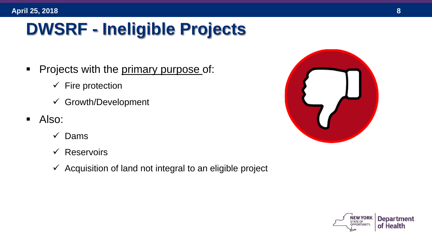# **DWSRF - Ineligible Projects**

- Projects with the primary purpose of:
	- $\checkmark$  Fire protection
	- $\checkmark$  Growth/Development
- Also:
	- $\checkmark$  Dams
	- $\checkmark$  Reservoirs
	- $\checkmark$  Acquisition of land not integral to an eligible project



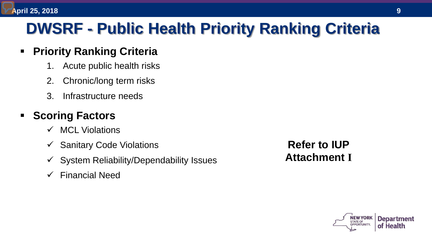### **DWSRF - Public Health Priority Ranking Criteria**

#### **Priority Ranking Criteria**

- 1. Acute public health risks
- 2. Chronic/long term risks
- 3. Infrastructure needs

#### **Scoring Factors**

- $\checkmark$  MCL Violations
- $\checkmark$  Sanitary Code Violations
- $\checkmark$  System Reliability/Dependability Issues
- $\checkmark$  Financial Need

**Refer to IUP Attachment I**

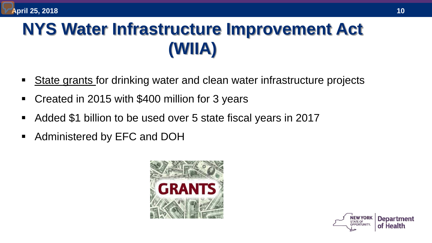## **NYS Water Infrastructure Improvement Act (WIIA)**

- State grants for drinking water and clean water infrastructure projects
- Created in 2015 with \$400 million for 3 years
- Added \$1 billion to be used over 5 state fiscal years in 2017
- Administered by EFC and DOH



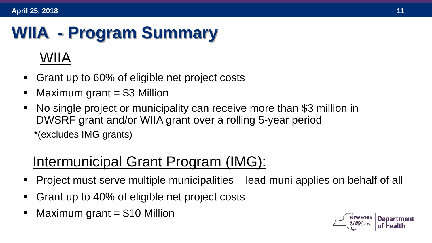# **WIIA - Program Summary**

#### WIIA

- Grant up to 60% of eligible net project costs
- Maximum grant = \$3 Million
- No single project or municipality can receive more than \$3 million in DWSRF grant and/or WIIA grant over a rolling 5-year period \*(excludes IMG grants)

#### Intermunicipal Grant Program (IMG):

- Project must serve multiple municipalities lead muni applies on behalf of all
- Grant up to 40% of eligible net project costs
- Maximum grant  $= $10$  Million

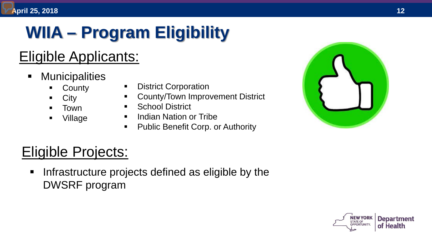# **WIIA – Program Eligibility**

#### Eligible Applicants:

- **Municipalities** 
	- **County**
	- **City**
	- Town
	- Village
- 
- 
- 
- 
- 



#### Eligible Projects:

**Infrastructure projects defined as eligible by the** - County - District Corporation<br>
- City - County/Town Improvement District<br>
- Town - School District<br>
- Indian Nation or Tribe<br>
- Public Benefit Corp. or Authority<br>
- Public Benefit Corp. or Authority<br>
- Public Benefit Cor

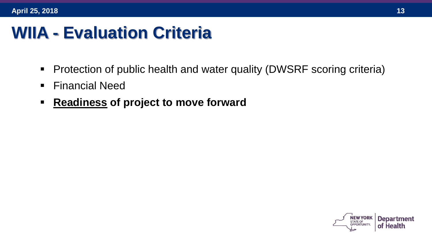## **WIIA - Evaluation Criteria**

- Protection of public health and water quality (DWSRF scoring criteria)
- **Financial Need**
- **Readiness of project to move forward**

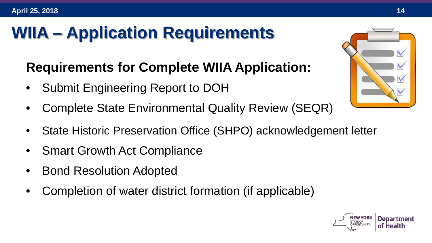# **WIIA – Application Requirements**

#### **Requirements for Complete WIIA Application:**

- Submit Engineering Report to DOH
- Complete State Environmental Quality Review (SEQR)
- State Historic Preservation Office (SHPO) acknowledgement letter
- Smart Growth Act Compliance
- Bond Resolution Adopted
- Completion of water district formation (if applicable)



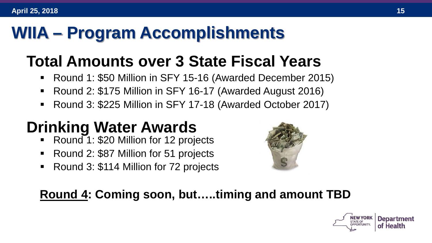## **WIIA – Program Accomplishments**

### **Total Amounts over 3 State Fiscal Years**

- Round 1: \$50 Million in SFY 15-16 (Awarded December 2015)
- Round 2: \$175 Million in SFY 16-17 (Awarded August 2016)
- Round 3: \$225 Million in SFY 17-18 (Awarded October 2017)

### **Drinking Water Awards**

- Round 1: \$20 Million for 12 projects
- Round 2: \$87 Million for 51 projects
- Round 3: \$114 Million for 72 projects



#### **Round 4: Coming soon, but…..timing and amount TBD**

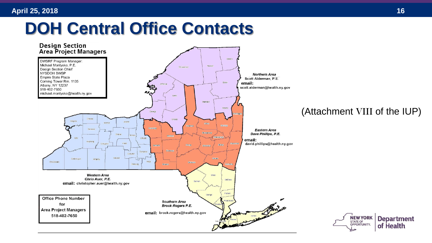### **DOH Central Office Contacts**



#### (Attachment VIII of the IUP)